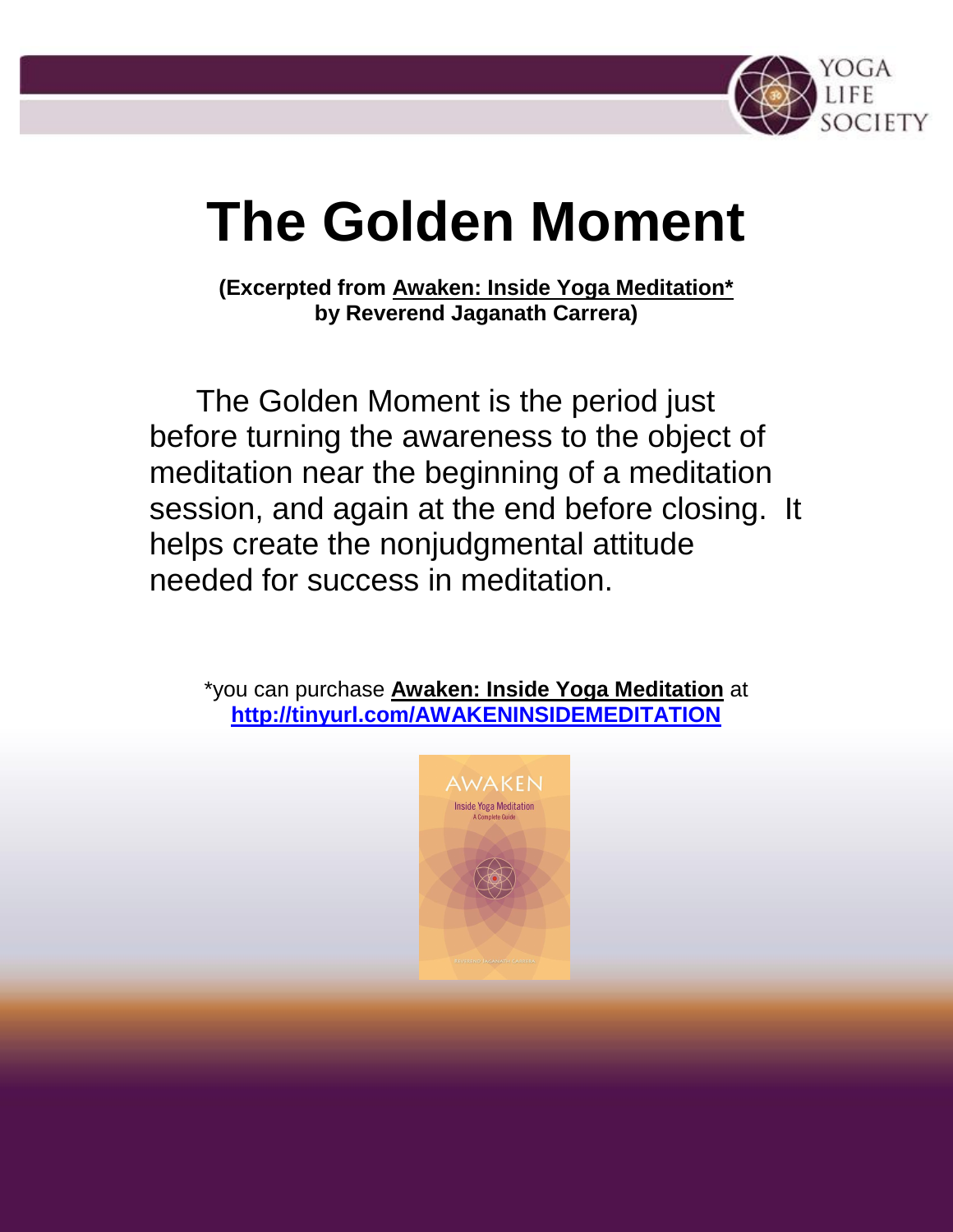

# **The Golden Moment**

**(Excerpted from Awaken: Inside Yoga Meditation\* by Reverend Jaganath Carrera)**

The Golden Moment is the period just before turning the awareness to the object of meditation near the beginning of a meditation session, and again at the end before closing. It helps create the nonjudgmental attitude needed for success in meditation.

\*you can purchase **Awaken: Inside Yoga Meditation** at **<http://tinyurl.com/AWAKENINSIDEMEDITATION>**

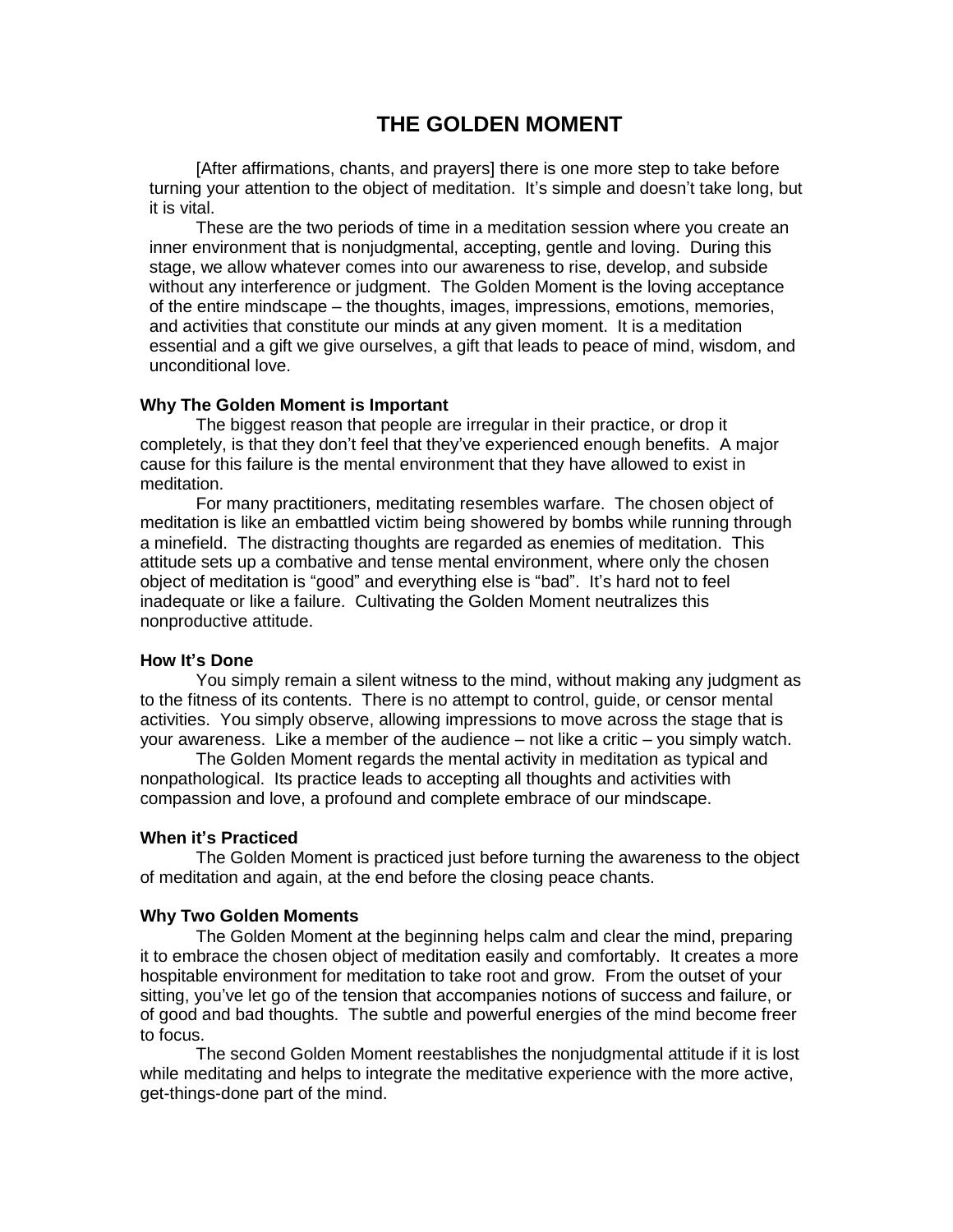## **THE GOLDEN MOMENT**

[After affirmations, chants, and prayers] there is one more step to take before turning your attention to the object of meditation. It's simple and doesn't take long, but it is vital.

These are the two periods of time in a meditation session where you create an inner environment that is nonjudgmental, accepting, gentle and loving. During this stage, we allow whatever comes into our awareness to rise, develop, and subside without any interference or judgment. The Golden Moment is the loving acceptance of the entire mindscape – the thoughts, images, impressions, emotions, memories, and activities that constitute our minds at any given moment. It is a meditation essential and a gift we give ourselves, a gift that leads to peace of mind, wisdom, and unconditional love.

#### **Why The Golden Moment is Important**

The biggest reason that people are irregular in their practice, or drop it completely, is that they don't feel that they've experienced enough benefits. A major cause for this failure is the mental environment that they have allowed to exist in meditation.

For many practitioners, meditating resembles warfare. The chosen object of meditation is like an embattled victim being showered by bombs while running through a minefield. The distracting thoughts are regarded as enemies of meditation. This attitude sets up a combative and tense mental environment, where only the chosen object of meditation is "good" and everything else is "bad". It's hard not to feel inadequate or like a failure. Cultivating the Golden Moment neutralizes this nonproductive attitude.

#### **How It's Done**

You simply remain a silent witness to the mind, without making any judgment as to the fitness of its contents. There is no attempt to control, guide, or censor mental activities. You simply observe, allowing impressions to move across the stage that is your awareness. Like a member of the audience – not like a critic – you simply watch.

The Golden Moment regards the mental activity in meditation as typical and nonpathological. Its practice leads to accepting all thoughts and activities with compassion and love, a profound and complete embrace of our mindscape.

#### **When it's Practiced**

The Golden Moment is practiced just before turning the awareness to the object of meditation and again, at the end before the closing peace chants.

### **Why Two Golden Moments**

The Golden Moment at the beginning helps calm and clear the mind, preparing it to embrace the chosen object of meditation easily and comfortably. It creates a more hospitable environment for meditation to take root and grow. From the outset of your sitting, you've let go of the tension that accompanies notions of success and failure, or of good and bad thoughts. The subtle and powerful energies of the mind become freer to focus.

The second Golden Moment reestablishes the nonjudgmental attitude if it is lost while meditating and helps to integrate the meditative experience with the more active, get-things-done part of the mind.